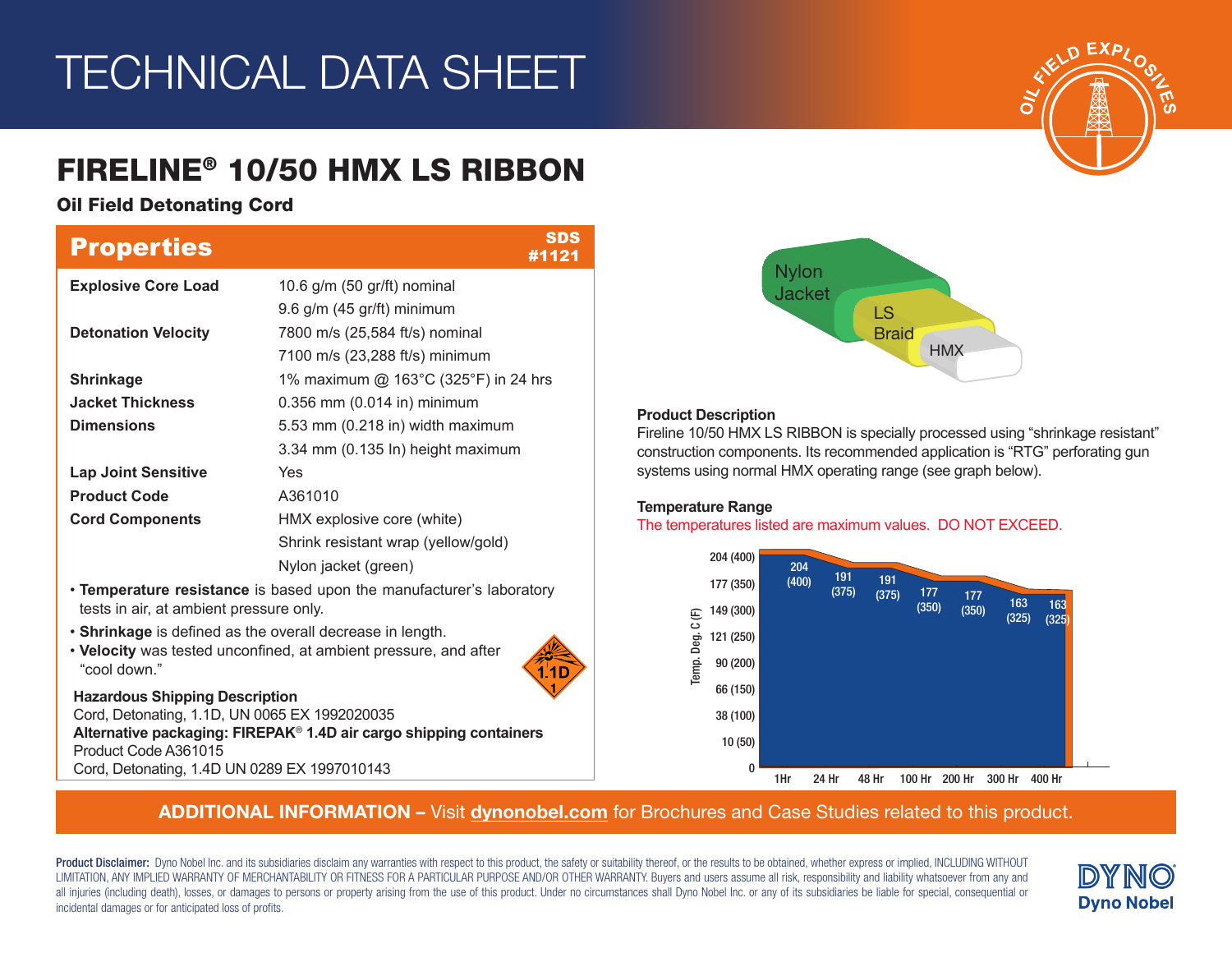# TECHNICAL DATA SHEET

# FIRELINE® 10/50 HMX LS RIBBON

# Oil Field Detonating Cord

| <b>Properties</b>                                                                                              | <b>SDS</b><br>#1121                                                            |  |  |  |  |
|----------------------------------------------------------------------------------------------------------------|--------------------------------------------------------------------------------|--|--|--|--|
| <b>Explosive Core Load</b>                                                                                     | 10.6 g/m (50 gr/ft) nominal                                                    |  |  |  |  |
|                                                                                                                | 9.6 g/m (45 gr/ft) minimum                                                     |  |  |  |  |
| <b>Detonation Velocity</b>                                                                                     | 7800 m/s (25,584 ft/s) nominal                                                 |  |  |  |  |
|                                                                                                                | 7100 m/s (23,288 ft/s) minimum                                                 |  |  |  |  |
| <b>Shrinkage</b>                                                                                               | 1% maximum @ 163°C (325°F) in 24 hrs                                           |  |  |  |  |
| <b>Jacket Thickness</b>                                                                                        | 0.356 mm (0.014 in) minimum                                                    |  |  |  |  |
| <b>Dimensions</b>                                                                                              | 5.53 mm (0.218 in) width maximum                                               |  |  |  |  |
|                                                                                                                | 3.34 mm (0.135 ln) height maximum                                              |  |  |  |  |
| <b>Lap Joint Sensitive</b>                                                                                     | Yes                                                                            |  |  |  |  |
| <b>Product Code</b>                                                                                            | A361010                                                                        |  |  |  |  |
| <b>Cord Components</b>                                                                                         | HMX explosive core (white)                                                     |  |  |  |  |
|                                                                                                                | Shrink resistant wrap (yellow/gold)                                            |  |  |  |  |
|                                                                                                                | Nylon jacket (green)                                                           |  |  |  |  |
| tests in air, at ambient pressure only.                                                                        | • Temperature resistance is based upon the manufacturer's laboratory           |  |  |  |  |
| • Shrinkage is defined as the overall decrease in length.<br>"cool down."                                      | . Velocity was tested unconfined, at ambient pressure, and after               |  |  |  |  |
| <b>Hazardous Shipping Description</b><br>Cord, Detonating, 1.1D, UN 0065 EX 1992020035<br>Product Code A361015 | Alternative packaging: FIREPAK <sup>®</sup> 1.4D air cargo shipping containers |  |  |  |  |

Cord, Detonating, 1.4D UN 0289 EX 1997010143



### **Product Description**

Fireline 10/50 HMX LS RIBBON is specially processed using "shrinkage resistant" construction components. Its recommended application is "RTG" perforating gun systems using normal HMX operating range (see graph below).

### **Temperature Range**

The temperatures listed are maximum values. DO NOT EXCEED.



## ADDITIONAL INFORMATION – Visit dynonobel.com for Brochures and Case Studies related to this product.

Product Disclaimer: Dyno Nobel Inc. and its subsidiaries disclaim any warranties with respect to this product, the safety or suitability thereof, or the results to be obtained, whether express or implied, INCLUDING WITHOUT LIMITATION, ANY IMPLIED WARRANTY OF MERCHANTABILITY OR FITNESS FOR A PARTICULAR PURPOSE AND/OR OTHER WARRANTY. Buyers and users assume all risk, responsibility and liability whatsoever from any and all injuries (including death), losses, or damages to persons or property arising from the use of this product. Under no circumstances shall Dyno Nobel Inc. or any of its subsidiaries be liable for special, consequential o incidental damages or for anticipated loss of profits.